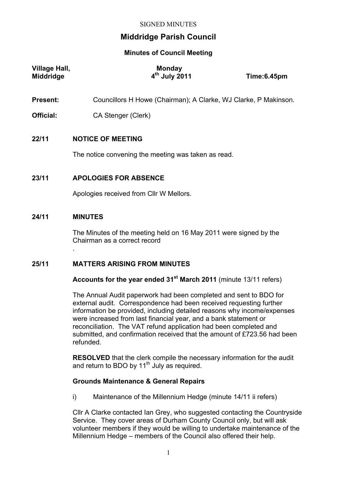# **Middridge Parish Council**

# **Minutes of Council Meeting**

| <b>Village Hall,</b><br><b>Middridge</b> | Monday<br>4 <sup>th</sup> July 2011                             | Time:6.45pm |  |
|------------------------------------------|-----------------------------------------------------------------|-------------|--|
| <b>Present:</b>                          | Councillors H Howe (Chairman); A Clarke, WJ Clarke, P Makinson. |             |  |
| Official:                                | CA Stenger (Clerk)                                              |             |  |
| 22/11                                    | <b>NOTICE OF MEETING</b>                                        |             |  |
|                                          | The notice convening the meeting was taken as read.             |             |  |
| 23/11                                    | <b>APOLOGIES FOR ABSENCE</b>                                    |             |  |
|                                          | Apologies received from CIIr W Mellors.                         |             |  |

## **24/11 MINUTES**

.

The Minutes of the meeting held on 16 May 2011 were signed by the Chairman as a correct record

# **25/11 MATTERS ARISING FROM MINUTES**

**Accounts for the year ended 31st March 2011** (minute 13/11 refers)

The Annual Audit paperwork had been completed and sent to BDO for external audit. Correspondence had been received requesting further information be provided, including detailed reasons why income/expenses were increased from last financial year, and a bank statement or reconciliation. The VAT refund application had been completed and submitted, and confirmation received that the amount of £723.56 had been refunded.

**RESOLVED** that the clerk compile the necessary information for the audit and return to BDO by  $11<sup>th</sup>$  July as required.

# **Grounds Maintenance & General Repairs**

i) Maintenance of the Millennium Hedge (minute 14/11 ii refers)

Cllr A Clarke contacted Ian Grey, who suggested contacting the Countryside Service. They cover areas of Durham County Council only, but will ask volunteer members if they would be willing to undertake maintenance of the Millennium Hedge – members of the Council also offered their help.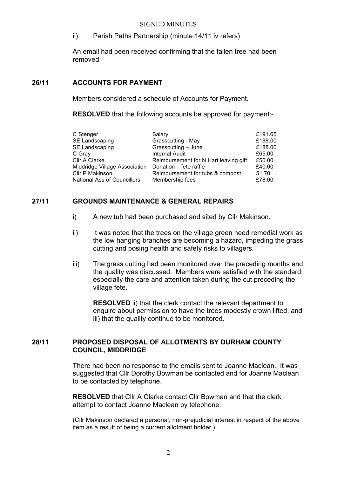#### SIGNED MINUTES

ii) Parish Paths Partnership (minute 14/11 iv refers)

An email had been received confirming that the fallen tree had been removed

#### **26/11 ACCOUNTS FOR PAYMENT**

Members considered a schedule of Accounts for Payment.

**RESOLVED** that the following accounts be approved for payment:-

| Salary                                | £191.65 |
|---------------------------------------|---------|
| Grasscutting - May                    | £188.00 |
| Grasscutting - June                   | £188.00 |
| <b>Internal Audit</b>                 | £65.00  |
| Reimbursement for N Hart leaving gift | £50.00  |
| Donation - fete raffle                | £40.00  |
| Reimbursement for tubs & compost      | 51.70   |
| Membership fees                       | £78.00  |
|                                       |         |

## **27/11 GROUNDS MAINTENANCE & GENERAL REPAIRS**

- i) A new tub had been purchased and sited by Cllr Makinson.
- ii) It was noted that the trees on the village green need remedial work as the low hanging branches are becoming a hazard, impeding the grass cutting and posing health and safety risks to villagers.
- iii) The grass cutting had been monitored over the preceding months and the quality was discussed. Members were satisfied with the standard, especially the care and attention taken during the cut preceding the village fete.

**RESOLVED** ii) that the clerk contact the relevant department to enquire about permission to have the trees modestly crown lifted, and iii) that the quality continue to be monitored.

# **28/11 PROPOSED DISPOSAL OF ALLOTMENTS BY DURHAM COUNTY COUNCIL, MIDDRIDGE**

There had been no response to the emails sent to Joanne Maclean. It was suggested that Cllr Dorothy Bowman be contacted and for Joanne Maclean to be contacted by telephone.

**RESOLVED** that Cllr A Clarke contact Cllr Bowman and that the clerk attempt to contact Joanne Maclean by telephone.

(Cllr Makinson declared a personal, non-prejudicial interest in respect of the above item as a result of being a current allotment holder.)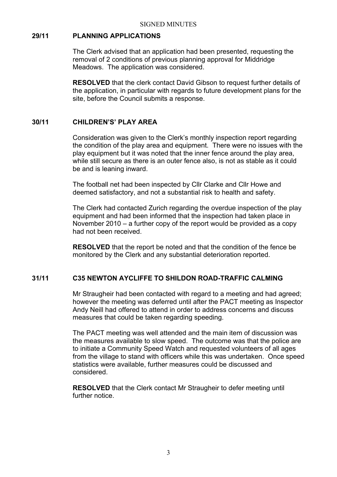#### **29/11 PLANNING APPLICATIONS**

The Clerk advised that an application had been presented, requesting the removal of 2 conditions of previous planning approval for Middridge Meadows. The application was considered.

**RESOLVED** that the clerk contact David Gibson to request further details of the application, in particular with regards to future development plans for the site, before the Council submits a response.

#### **30/11 CHILDREN'S' PLAY AREA**

Consideration was given to the Clerk's monthly inspection report regarding the condition of the play area and equipment. There were no issues with the play equipment but it was noted that the inner fence around the play area, while still secure as there is an outer fence also, is not as stable as it could be and is leaning inward.

The football net had been inspected by Cllr Clarke and Cllr Howe and deemed satisfactory, and not a substantial risk to health and safety.

The Clerk had contacted Zurich regarding the overdue inspection of the play equipment and had been informed that the inspection had taken place in November 2010 – a further copy of the report would be provided as a copy had not been received.

**RESOLVED** that the report be noted and that the condition of the fence be monitored by the Clerk and any substantial deterioration reported.

# **31/11 C35 NEWTON AYCLIFFE TO SHILDON ROAD-TRAFFIC CALMING**

Mr Straugheir had been contacted with regard to a meeting and had agreed; however the meeting was deferred until after the PACT meeting as Inspector Andy Neill had offered to attend in order to address concerns and discuss measures that could be taken regarding speeding.

The PACT meeting was well attended and the main item of discussion was the measures available to slow speed. The outcome was that the police are to initiate a Community Speed Watch and requested volunteers of all ages from the village to stand with officers while this was undertaken. Once speed statistics were available, further measures could be discussed and considered.

**RESOLVED** that the Clerk contact Mr Straugheir to defer meeting until further notice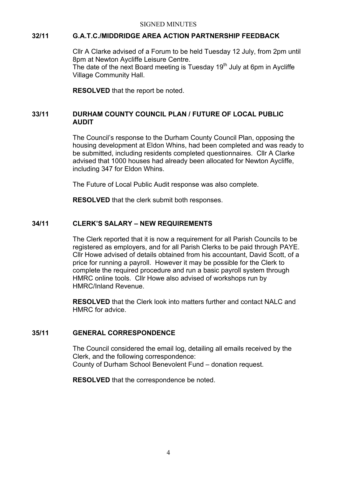# **32/11 G.A.T.C./MIDDRIDGE AREA ACTION PARTNERSHIP FEEDBACK**

Cllr A Clarke advised of a Forum to be held Tuesday 12 July, from 2pm until 8pm at Newton Aycliffe Leisure Centre. The date of the next Board meeting is Tuesday  $19<sup>th</sup>$  July at 6pm in Aycliffe Village Community Hall.

**RESOLVED** that the report be noted.

# **33/11 DURHAM COUNTY COUNCIL PLAN / FUTURE OF LOCAL PUBLIC AUDIT**

The Council's response to the Durham County Council Plan, opposing the housing development at Eldon Whins, had been completed and was ready to be submitted, including residents completed questionnaires. Cllr A Clarke advised that 1000 houses had already been allocated for Newton Aycliffe, including 347 for Eldon Whins.

The Future of Local Public Audit response was also complete.

**RESOLVED** that the clerk submit both responses.

# **34/11 CLERK'S SALARY – NEW REQUIREMENTS**

The Clerk reported that it is now a requirement for all Parish Councils to be registered as employers, and for all Parish Clerks to be paid through PAYE. Cllr Howe advised of details obtained from his accountant, David Scott, of a price for running a payroll. However it may be possible for the Clerk to complete the required procedure and run a basic payroll system through HMRC online tools. Cllr Howe also advised of workshops run by HMRC/Inland Revenue.

**RESOLVED** that the Clerk look into matters further and contact NALC and HMRC for advice.

## **35/11 GENERAL CORRESPONDENCE**

The Council considered the email log, detailing all emails received by the Clerk, and the following correspondence: County of Durham School Benevolent Fund – donation request.

**RESOLVED** that the correspondence be noted.